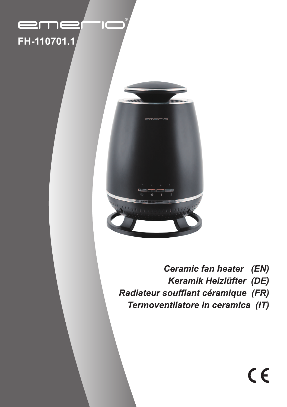## eme FH-110701.1

 $\mathsf{I}\mathsf{C}$ 



Ceramic fan heater (EN) Keramik Heizlüfter (DE) Radiateur soufflant céramique (FR) Termoventilatore in ceramica (IT)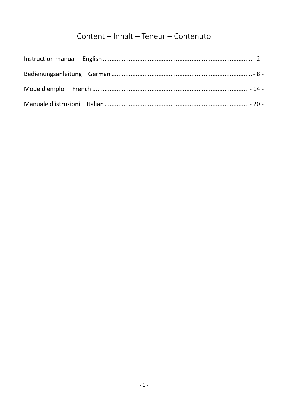## Content - Inhalt - Teneur - Contenuto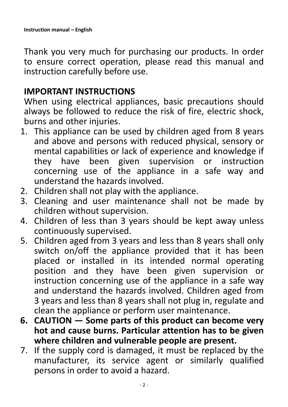<span id="page-2-0"></span>Thank you very much for purchasing our products. In order to ensure correct operation, please read this manual and instruction carefully before use.

## **IMPORTANT INSTRUCTIONS**

When using electrical appliances, basic precautions should always be followed to reduce the risk of fire, electric shock, burns and other injuries.

- 1. This appliance can be used by children aged from 8 years and above and persons with reduced physical, sensory or mental capabilities or lack of experience and knowledge if they have been given supervision or instruction concerning use of the appliance in a safe way and understand the hazards involved.
- 2. Children shall not play with the appliance.
- 3. Cleaning and user maintenance shall not be made by children without supervision.
- 4. Children of less than 3 years should be kept away unless continuously supervised.
- 5. Children aged from 3 years and less than 8 years shall only switch on/off the appliance provided that it has been placed or installed in its intended normal operating position and they have been given supervision or instruction concerning use of the appliance in a safe way and understand the hazards involved. Children aged from 3 years and less than 8 years shall not plug in, regulate and clean the appliance or perform user maintenance.
- **6. CAUTION — Some parts of this product can become very hot and cause burns. Particular attention has to be given where children and vulnerable people are present.**
- 7. If the supply cord is damaged, it must be replaced by the manufacturer, its service agent or similarly qualified persons in order to avoid a hazard.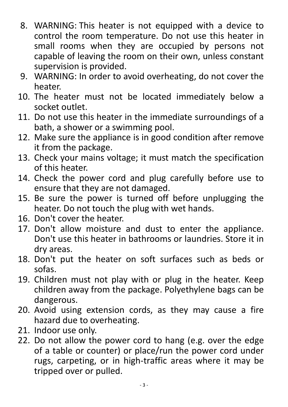- 8. WARNING: This heater is not equipped with a device to control the room temperature. Do not use this heater in small rooms when they are occupied by persons not capable of leaving the room on their own, unless constant supervision is provided.
- 9. WARNING: In order to avoid overheating, do not cover the heater.
- 10. The heater must not be located immediately below a socket outlet.
- 11. Do not use this heater in the immediate surroundings of a bath, a shower or a swimming pool.
- 12. Make sure the appliance is in good condition after remove it from the package.
- 13. Check your mains voltage; it must match the specification of this heater.
- 14. Check the power cord and plug carefully before use to ensure that they are not damaged.
- 15. Be sure the power is turned off before unplugging the heater. Do not touch the plug with wet hands.
- 16. Don't cover the heater.
- 17. Don't allow moisture and dust to enter the appliance. Don't use this heater in bathrooms or laundries. Store it in dry areas.
- 18. Don't put the heater on soft surfaces such as beds or sofas.
- 19. Children must not play with or plug in the heater. Keep children away from the package. Polyethylene bags can be dangerous.
- 20. Avoid using extension cords, as they may cause a fire hazard due to overheating.
- 21. Indoor use only.
- 22. Do not allow the power cord to hang (e.g. over the edge of a table or counter) or place/run the power cord under rugs, carpeting, or in high-traffic areas where it may be tripped over or pulled.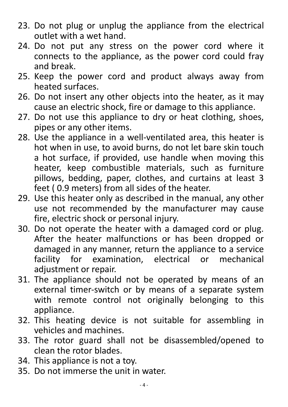- 23. Do not plug or unplug the appliance from the electrical outlet with a wet hand.
- 24. Do not put any stress on the power cord where it connects to the appliance, as the power cord could fray and break.
- 25. Keep the power cord and product always away from heated surfaces.
- 26. Do not insert any other objects into the heater, as it may cause an electric shock, fire or damage to this appliance.
- 27. Do not use this appliance to dry or heat clothing, shoes, pipes or any other items.
- 28. Use the appliance in a well-ventilated area, this heater is hot when in use, to avoid burns, do not let bare skin touch a hot surface, if provided, use handle when moving this heater, keep combustible materials, such as furniture pillows, bedding, paper, clothes, and curtains at least 3 feet ( 0.9 meters) from all sides of the heater.
- 29. Use this heater only as described in the manual, any other use not recommended by the manufacturer may cause fire, electric shock or personal injury.
- 30. Do not operate the heater with a damaged cord or plug. After the heater malfunctions or has been dropped or damaged in any manner, return the appliance to a service facility for examination, electrical or mechanical adjustment or repair.
- 31. The appliance should not be operated by means of an external timer-switch or by means of a separate system with remote control not originally belonging to this appliance.
- 32. This heating device is not suitable for assembling in vehicles and machines.
- 33. The rotor guard shall not be disassembled/opened to clean the rotor blades.
- 34. This appliance is not a toy.
- 35. Do not immerse the unit in water.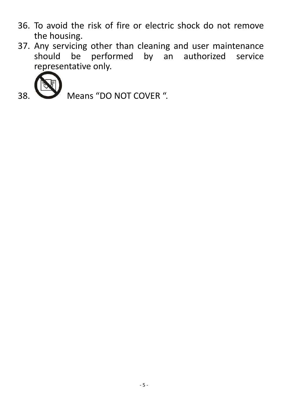- 36. To avoid the risk of fire or electric shock do not remove the housing.
- 37. Any servicing other than cleaning and user maintenance should be performed by an authorized service representative only.



38. Means "DO NOT COVER".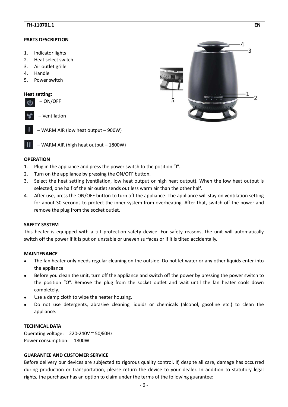#### **PARTS DESCRIPTION**

- 1. Indicator lights
- 2. Heat select switch
- 3. Air outlet grille
- 4. Handle
- 5. Power switch

#### **Heat setting:**

|  | ON/OFF |
|--|--------|
|--|--------|

- Ventilation
- WARM AIR (low heat output 900W)
- WARM AIR (high heat output 1800W)

#### **OPERATION**

- 1. Plug in the appliance and press the power switch to the position "I".
- 2. Turn on the appliance by pressing the ON/OFF button.
- 3. Select the heat setting (ventilation, low heat output or high heat output). When the low heat output is selected, one half of the air outlet sends out less warm air than the other half.
- 4. After use, press the ON/OFF button to turn off the appliance. The appliance will stay on ventilation setting for about 30 seconds to protect the inner system from overheating. After that, switch off the power and remove the plug from the socket outlet.

#### **SAFETY SYSTEM**

This heater is equipped with a tilt protection safety device. For safety reasons, the unit will automatically switch off the power if it is put on unstable or uneven surfaces or if it is tilted accidentally.

#### **MAINTENANCE**

- The fan heater only needs regular cleaning on the outside. Do not let water or any other liquids enter into the appliance.
- Before you clean the unit, turn off the appliance and switch off the power by pressing the power switch to the position "O". Remove the plug from the socket outlet and wait until the fan heater cools down completely.
- Use a damp cloth to wipe the heater housing.
- Do not use detergents, abrasive cleaning liquids or chemicals (alcohol, gasoline etc.) to clean the appliance.

#### **TECHNICAL DATA**

Operating voltage: 220-240V ~ 50/60Hz Power consumption: 1800W

#### **GUARANTEE AND CUSTOMER SERVICE**

Before delivery our devices are subjected to rigorous quality control. If, despite all care, damage has occurred during production or transportation, please return the device to your dealer. In addition to statutory legal rights, the purchaser has an option to claim under the terms of the following guarantee:

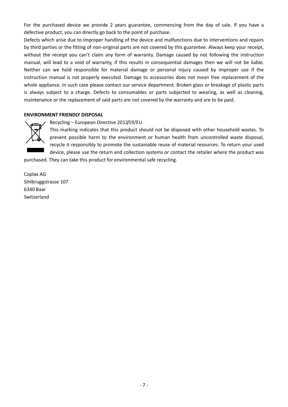For the purchased device we provide 2 years guarantee, commencing from the day of sale. If you have a defective product, you can directly go back to the point of purchase.

Defects which arise due to improper handling of the device and malfunctions due to interventions and repairs by third parties or the fitting of non-original parts are not covered by this guarantee. Always keep your receipt, without the receipt you can't claim any form of warranty. Damage caused by not following the instruction manual, will lead to a void of warranty, if this results in consequential damages then we will not be liable. Neither can we hold responsible for material damage or personal injury caused by improper use if the instruction manual is not properly executed. Damage to accessories does not mean free replacement of the whole appliance. In such case please contact our service department. Broken glass or breakage of plastic parts is always subject to a charge. Defects to consumables or parts subjected to wearing, as well as cleaning, maintenance or the replacement of said parts are not covered by the warranty and are to be paid.

#### **ENVIRONMENT FRIENDLY DISPOSAL**



#### Recycling - European Directive 2012/19/EU

This marking indicates that this product should not be disposed with other household wastes. To prevent possible harm to the environment or human health from uncontrolled waste disposal, recycle it responsibly to promote the sustainable reuse of material resources. To return your used device, please use the return and collection systems or contact the retailer where the product was purchased. They can take this product for environmental safe recycling.

Coplax AG Sihlbruggstrasse 107 6340 Baar Switzerland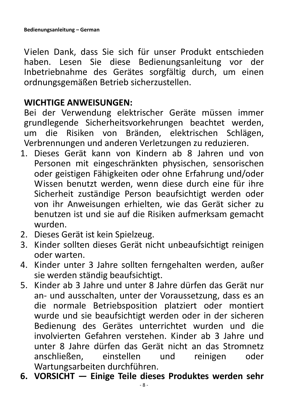<span id="page-8-0"></span>Vielen Dank, dass Sie sich für unser Produkt entschieden haben. Lesen Sie diese Bedienungsanleitung vor der Inbetriebnahme des Gerätes sorgfältig durch, um einen ordnungsgemäßen Betrieb sicherzustellen.

## **WICHTIGE ANWEISUNGEN:**

Bei der Verwendung elektrischer Geräte müssen immer grundlegende Sicherheitsvorkehrungen beachtet werden, um die Risiken von Bränden, elektrischen Schlägen, Verbrennungen und anderen Verletzungen zu reduzieren.

- 1. Dieses Gerät kann von Kindern ab 8 Jahren und von Personen mit eingeschränkten physischen, sensorischen oder geistigen Fähigkeiten oder ohne Erfahrung und/oder Wissen benutzt werden, wenn diese durch eine für ihre Sicherheit zuständige Person beaufsichtigt werden oder von ihr Anweisungen erhielten, wie das Gerät sicher zu benutzen ist und sie auf die Risiken aufmerksam gemacht wurden.
- 2. Dieses Gerät ist kein Spielzeug.
- 3. Kinder sollten dieses Gerät nicht unbeaufsichtigt reinigen oder warten.
- 4. Kinder unter 3 Jahre sollten ferngehalten werden, außer sie werden ständig beaufsichtigt.
- 5. Kinder ab 3 Jahre und unter 8 Jahre dürfen das Gerät nur an- und ausschalten, unter der Voraussetzung, dass es an die normale Betriebsposition platziert oder montiert wurde und sie beaufsichtigt werden oder in der sicheren Bedienung des Gerätes unterrichtet wurden und die involvierten Gefahren verstehen. Kinder ab 3 Jahre und unter 8 Jahre dürfen das Gerät nicht an das Stromnetz anschließen, einstellen und reinigen oder Wartungsarbeiten durchführen.
- **6. VORSICHT — Einige Teile dieses Produktes werden sehr**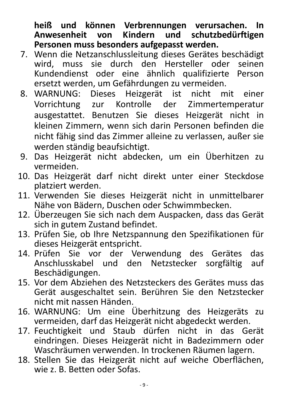**heiß und können Verbrennungen verursachen. In Anwesenheit von Kindern und schutzbedürftigen Personen muss besonders aufgepasst werden.** 

- 7. Wenn die Netzanschlussleitung dieses Gerätes beschädigt wird, muss sie durch den Hersteller oder seinen Kundendienst oder eine ähnlich qualifizierte Person ersetzt werden, um Gefährdungen zu vermeiden.
- 8. WARNUNG: Dieses Heizgerät ist nicht mit einer Vorrichtung zur Kontrolle der Zimmertemperatur ausgestattet. Benutzen Sie dieses Heizgerät nicht in kleinen Zimmern, wenn sich darin Personen befinden die nicht fähig sind das Zimmer alleine zu verlassen, außer sie werden ständig beaufsichtigt.
- 9. Das Heizgerät nicht abdecken, um ein Überhitzen zu vermeiden.
- 10. Das Heizgerät darf nicht direkt unter einer Steckdose platziert werden.
- 11. Verwenden Sie dieses Heizgerät nicht in unmittelbarer Nähe von Bädern, Duschen oder Schwimmbecken.
- 12. Überzeugen Sie sich nach dem Auspacken, dass das Gerät sich in gutem Zustand befindet.
- 13. Prüfen Sie, ob Ihre Netzspannung den Spezifikationen für dieses Heizgerät entspricht.
- 14. Prüfen Sie vor der Verwendung des Gerätes das Anschlusskabel und den Netzstecker sorgfältig auf Beschädigungen.
- 15. Vor dem Abziehen des Netzsteckers des Gerätes muss das Gerät ausgeschaltet sein. Berühren Sie den Netzstecker nicht mit nassen Händen.
- 16. WARNUNG: Um eine Überhitzung des Heizgeräts zu vermeiden, darf das Heizgerät nicht abgedeckt werden.
- 17. Feuchtigkeit und Staub dürfen nicht in das Gerät eindringen. Dieses Heizgerät nicht in Badezimmern oder Waschräumen verwenden. In trockenen Räumen lagern.
- 18. Stellen Sie das Heizgerät nicht auf weiche Oberflächen, wie z. B. Betten oder Sofas.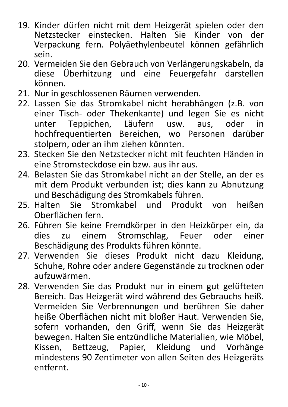- 19. Kinder dürfen nicht mit dem Heizgerät spielen oder den Netzstecker einstecken. Halten Sie Kinder von der Verpackung fern. Polyäethylenbeutel können gefährlich sein.
- 20. Vermeiden Sie den Gebrauch von Verlängerungskabeln, da diese Überhitzung und eine Feuergefahr darstellen können.
- 21. Nur in geschlossenen Räumen verwenden.
- 22. Lassen Sie das Stromkabel nicht herabhängen (z.B. von einer Tisch- oder Thekenkante) und legen Sie es nicht unter Teppichen, Läufern usw. aus, oder in hochfrequentierten Bereichen, wo Personen darüber stolpern, oder an ihm ziehen könnten.
- 23. Stecken Sie den Netzstecker nicht mit feuchten Händen in eine Stromsteckdose ein bzw. aus ihr aus.
- 24. Belasten Sie das Stromkabel nicht an der Stelle, an der es mit dem Produkt verbunden ist; dies kann zu Abnutzung und Beschädigung des Stromkabels führen.
- 25. Halten Sie Stromkabel und Produkt von heißen Oberflächen fern.
- 26. Führen Sie keine Fremdkörper in den Heizkörper ein, da dies zu einem Stromschlag, Feuer oder einer Beschädigung des Produkts führen könnte.
- 27. Verwenden Sie dieses Produkt nicht dazu Kleidung, Schuhe, Rohre oder andere Gegenstände zu trocknen oder aufzuwärmen.
- 28. Verwenden Sie das Produkt nur in einem gut gelüfteten Bereich. Das Heizgerät wird während des Gebrauchs heiß. Vermeiden Sie Verbrennungen und berühren Sie daher heiße Oberflächen nicht mit bloßer Haut. Verwenden Sie, sofern vorhanden, den Griff, wenn Sie das Heizgerät bewegen. Halten Sie entzündliche Materialien, wie Möbel, Kissen, Bettzeug, Papier, Kleidung und Vorhänge mindestens 90 Zentimeter von allen Seiten des Heizgeräts entfernt.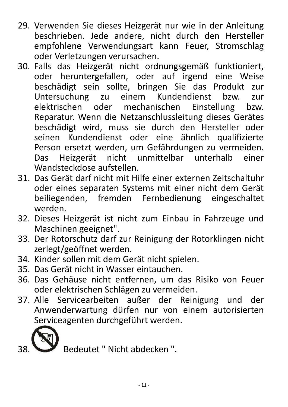- 29. Verwenden Sie dieses Heizgerät nur wie in der Anleitung beschrieben. Jede andere, nicht durch den Hersteller empfohlene Verwendungsart kann Feuer, Stromschlag oder Verletzungen verursachen.
- 30. Falls das Heizgerät nicht ordnungsgemäß funktioniert, oder heruntergefallen, oder auf irgend eine Weise beschädigt sein sollte, bringen Sie das Produkt zur Untersuchung zu einem Kundendienst bzw. zur elektrischen oder mechanischen Einstellung bzw. Reparatur. Wenn die Netzanschlussleitung dieses Gerätes beschädigt wird, muss sie durch den Hersteller oder seinen Kundendienst oder eine ähnlich qualifizierte Person ersetzt werden, um Gefährdungen zu vermeiden. Das Heizgerät nicht unmittelbar unterhalb einer Wandsteckdose aufstellen.
- 31. Das Gerät darf nicht mit Hilfe einer externen Zeitschaltuhr oder eines separaten Systems mit einer nicht dem Gerät beiliegenden, fremden Fernbedienung eingeschaltet werden.
- 32. Dieses Heizgerät ist nicht zum Einbau in Fahrzeuge und Maschinen geeignet".
- 33. Der Rotorschutz darf zur Reinigung der Rotorklingen nicht zerlegt/geöffnet werden.
- 34. Kinder sollen mit dem Gerät nicht spielen.
- 35. Das Gerät nicht in Wasser eintauchen.
- 36. Das Gehäuse nicht entfernen, um das Risiko von Feuer oder elektrischen Schlägen zu vermeiden.
- 37. Alle Servicearbeiten außer der Reinigung und der Anwenderwartung dürfen nur von einem autorisierten Serviceagenten durchgeführt werden.



Bedeutet " Nicht abdecken ".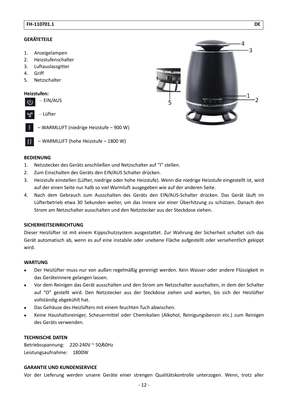### **GERÄTETEILE**

- 1. Anzeigelampen
- 2. Heizstufenschalter
- 3. Luftauslassgitter
- 4. Griff
- 5. Netzschalter

#### **Heizstufen:**



- WARMLUFT (niedrige Heizstufe 900 W)
- WARMLUFT (hohe Heizstufe 1800 W)

# $-3$  $\mathbf 1$ -2

#### **BEDIENUNG**

- 1. Netzstecker des Geräts anschließen und Netzschalter auf "I" stellen.
- 2. Zum Einschalten des Geräts den EIN/AUS Schalter drücken.
- 3. Heizstufe einstellen (Lüfter, niedrige oder hohe Heizstufe). Wenn die niedrige Heizstufe eingestellt ist, wird auf der einen Seite nur halb so viel Warmluft ausgegeben wie auf der anderen Seite.
- 4. Nach dem Gebrauch zum Ausschalten des Geräts den EIN/AUS-Schalter drücken. Das Gerät läuft im Lüfterbetrieb etwa 30 Sekunden weiter, um das Innere vor einer Überhitzung zu schützen. Danach den Strom am Netzschalter ausschalten und den Netzstecker aus der Steckdose ziehen.

#### **SICHERHEITSEINRICHTUNG**

Dieser Heizlüfter ist mit einem Kippschutzsystem ausgestattet. Zur Wahrung der Sicherheit schaltet sich das Gerät automatisch ab, wenn es auf eine instabile oder unebene Fläche aufgestellt oder versehentlich gekippt wird.

#### **WARTUNG**

- Der Heizlüfter muss nur von außen regelmäßig gereinigt werden. Kein Wasser oder andere Flüssigkeit in das Geräteinnere gelangen lassen.
- Vor dem Reinigen das Gerät ausschalten und den Strom am Netzschalter ausschalten, in dem der Schalter auf "O" gestellt wird. Den Netzstecker aus der Steckdose ziehen und warten, bis sich der Heizlüfter vollständig abgekühlt hat.
- Das Gehäuse des Heizlüfters mit einem feuchten Tuch abwischen.
- Keine Haushaltsreiniger, Scheuermittel oder Chemikalien (Alkohol, Reinigungsbenzin etc.) zum Reinigen des Geräts verwenden.

### **TECHNISCHE DATEN**

Betriebsspannung: 220-240V ~ 50/60Hz Leistungsaufnahme: 1800W

#### **GARANTIE UND KUNDENSERVICE**

Vor der Lieferung werden unsere Geräte einer strengen Qualitätskontrolle unterzogen. Wenn, trotz aller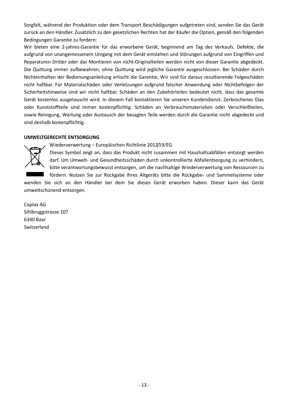Sorgfalt, während der Produktion oder dem Transport Beschädigungen aufgetreten sind, senden Sie das Gerät zurück an den Händler. Zusätzlich zu den gesetzlichen Rechten hat der Käufer die Option, gemäß den folgenden Bedingungen Garantie zu fordern:

Wir bieten eine 2-jahres-Garantie für das erworbene Gerät, beginnend am Tag des Verkaufs. Defekte, die aufgrund von unangemessenem Umgang mit dem Gerät entstehen und Störungen aufgrund von Eingriffen und Reparaturen Dritter oder das Montieren von nicht-Originalteilen werden nicht von dieser Garantie abgedeckt. Die Quittung immer aufbewahren, ohne Quittung wird jegliche Garantie ausgeschlossen. Bei Schäden durch Nichteinhalten der Bedienungsanleitung erlischt die Garantie, Wir sind für daraus resultierende Folgeschäden nicht haftbar. Für Materialschäden oder Verletzungen aufgrund falscher Anwendung oder Nichtbefolgen der Sicherheitshinweise sind wir nicht haftbar. Schäden an den Zubehörteilen bedeutet nicht, dass das gesamte Gerät kostenlos ausgetauscht wird. In diesem Fall kontaktieren Sie unseren Kundendienst. Zerbrochenes Glas oder Kunststoffteile sind immer kostenpflichtig. Schäden an Verbrauchsmaterialien oder Verschleißteilen, sowie Reinigung, Wartung oder Austausch der besagten Teile werden durch die Garantie nicht abgedeckt und sind deshalb kostenpflichtig.

### **UMWELTGERECHTE ENTSORGUNG**

### Wiederverwertung – Europäischen Richtlinie 2012/19/EG

Dieses Symbol zeigt an, dass das Produkt nicht zusammen mit Haushaltsabfällen entsorgt werden darf. Um Umwelt- und Gesundheitsschäden durch unkontrollierte Abfallentsorgung zu verhindern, bitte verantwortungsbewusst entsorgen, um die nachhaltige Wiederverwertung von Ressourcen zu

fördern. Nutzen Sie zur Rückgabe Ihres Altgeräts bitte die Rückgabe- und Sammelsysteme oder wenden Sie sich an den Händler bei dem Sie dieses Gerät erworben haben. Dieser kann das Gerät umweltschonend entsorgen.

Coplax AG Sihlbruggstrasse 107 6340 Baar **Switzerland**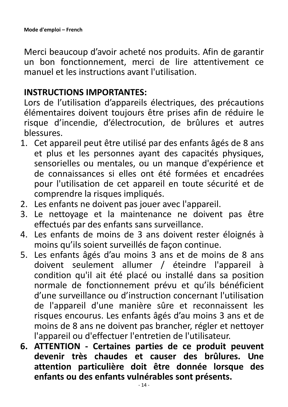<span id="page-14-0"></span>Merci beaucoup d'avoir acheté nos produits. Afin de garantir un bon fonctionnement, merci de lire attentivement ce manuel et les instructions avant l'utilisation.

## **INSTRUCTIONS IMPORTANTES:**

Lors de l'utilisation d'appareils électriques, des précautions élémentaires doivent toujours être prises afin de réduire le risque d'incendie, d'électrocution, de brûlures et autres blessures.

- 1. Cet appareil peut être utilisé par des enfants âgés de 8 ans et plus et les personnes ayant des capacités physiques, sensorielles ou mentales, ou un manque d'expérience et de connaissances si elles ont été formées et encadrées pour l'utilisation de cet appareil en toute sécurité et de comprendre la risques impliqués.
- 2. Les enfants ne doivent pas jouer avec l'appareil.
- 3. Le nettoyage et la maintenance ne doivent pas être effectués par des enfants sans surveillance.
- 4. Les enfants de moins de 3 ans doivent rester éloignés à moins qu'ils soient surveillés de façon continue.
- 5. Les enfants âgés d'au moins 3 ans et de moins de 8 ans doivent seulement allumer / éteindre l'appareil à condition qu'il ait été placé ou installé dans sa position normale de fonctionnement prévu et qu'ils bénéficient d'une surveillance ou d'instruction concernant l'utilisation de l'appareil d'une manière sûre et reconnaissent les risques encourus. Les enfants âgés d'au moins 3 ans et de moins de 8 ans ne doivent pas brancher, régler et nettoyer l'appareil ou d'effectuer l'entretien de l'utilisateur.
- **6. ATTENTION Certaines parties de ce produit peuvent devenir très chaudes et causer des brûlures. Une attention particulière doit être donnée lorsque des enfants ou des enfants vulnérables sont présents.**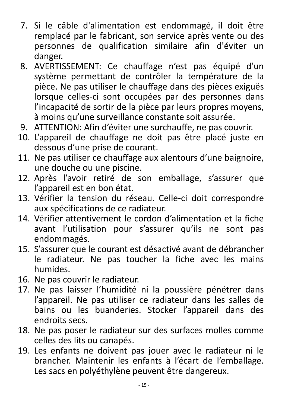- 7. Si le câble d'alimentation est endommagé, il doit être remplacé par le fabricant, son service après vente ou des personnes de qualification similaire afin d'éviter un danger.
- 8. AVERTISSEMENT: Ce chauffage n'est pas équipé d'un système permettant de contrôler la température de la pièce. Ne pas utiliser le chauffage dans des pièces exiguës lorsque celles-ci sont occupées par des personnes dans l'incapacité de sortir de la pièce par leurs propres moyens, à moins qu'une surveillance constante soit assurée.
- 9. ATTENTION: Afin d'éviter une surchauffe, ne pas couvrir.
- 10. L'appareil de chauffage ne doit pas être placé juste en dessous d'une prise de courant.
- 11. Ne pas utiliser ce chauffage aux alentours d'une baignoire, une douche ou une piscine.
- 12. Après l'avoir retiré de son emballage, s'assurer que l'appareil est en bon état.
- 13. Vérifier la tension du réseau. Celle-ci doit correspondre aux spécifications de ce radiateur.
- 14. Vérifier attentivement le cordon d'alimentation et la fiche avant l'utilisation pour s'assurer qu'ils ne sont pas endommagés.
- 15. S'assurer que le courant est désactivé avant de débrancher le radiateur. Ne pas toucher la fiche avec les mains humides.
- 16. Ne pas couvrir le radiateur.
- 17. Ne pas laisser l'humidité ni la poussière pénétrer dans l'appareil. Ne pas utiliser ce radiateur dans les salles de bains ou les buanderies. Stocker l'appareil dans des endroits secs.
- 18. Ne pas poser le radiateur sur des surfaces molles comme celles des lits ou canapés.
- 19. Les enfants ne doivent pas jouer avec le radiateur ni le brancher. Maintenir les enfants à l'écart de l'emballage. Les sacs en polyéthylène peuvent être dangereux.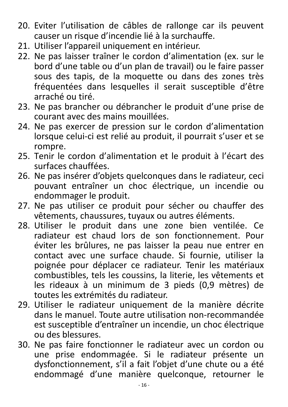- 20. Eviter l'utilisation de câbles de rallonge car ils peuvent causer un risque d'incendie lié à la surchauffe.
- 21. Utiliser l'appareil uniquement en intérieur.
- 22. Ne pas laisser traîner le cordon d'alimentation (ex. sur le bord d'une table ou d'un plan de travail) ou le faire passer sous des tapis, de la moquette ou dans des zones très fréquentées dans lesquelles il serait susceptible d'être arraché ou tiré.
- 23. Ne pas brancher ou débrancher le produit d'une prise de courant avec des mains mouillées.
- 24. Ne pas exercer de pression sur le cordon d'alimentation lorsque celui-ci est relié au produit, il pourrait s'user et se rompre.
- 25. Tenir le cordon d'alimentation et le produit à l'écart des surfaces chauffées.
- 26. Ne pas insérer d'objets quelconques dans le radiateur, ceci pouvant entraîner un choc électrique, un incendie ou endommager le produit.
- 27. Ne pas utiliser ce produit pour sécher ou chauffer des vêtements, chaussures, tuyaux ou autres éléments.
- 28. Utiliser le produit dans une zone bien ventilée. Ce radiateur est chaud lors de son fonctionnement. Pour éviter les brûlures, ne pas laisser la peau nue entrer en contact avec une surface chaude. Si fournie, utiliser la poignée pour déplacer ce radiateur. Tenir les matériaux combustibles, tels les coussins, la literie, les vêtements et les rideaux à un minimum de 3 pieds (0,9 mètres) de toutes les extrémités du radiateur.
- 29. Utiliser le radiateur uniquement de la manière décrite dans le manuel. Toute autre utilisation non-recommandée est susceptible d'entraîner un incendie, un choc électrique ou des blessures.
- 30. Ne pas faire fonctionner le radiateur avec un cordon ou une prise endommagée. Si le radiateur présente un dysfonctionnement, s'il a fait l'objet d'une chute ou a été endommagé d'une manière quelconque, retourner le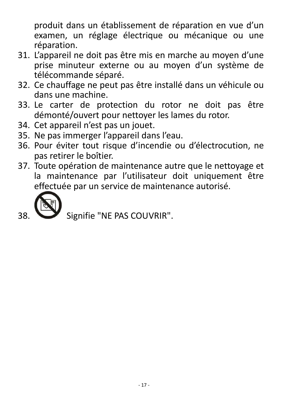produit dans un établissement de réparation en vue d'un examen, un réglage électrique ou mécanique ou une réparation.

- 31. L'appareil ne doit pas être mis en marche au moyen d'une prise minuteur externe ou au moyen d'un système de télécommande séparé.
- 32. Ce chauffage ne peut pas être installé dans un véhicule ou dans une machine.
- 33. Le carter de protection du rotor ne doit pas être démonté/ouvert pour nettoyer les lames du rotor.
- 34. Cet appareil n'est pas un jouet.
- 35. Ne pas immerger l'appareil dans l'eau.
- 36. Pour éviter tout risque d'incendie ou d'électrocution, ne pas retirer le boîtier.
- 37. Toute opération de maintenance autre que le nettoyage et la maintenance par l'utilisateur doit uniquement être effectuée par un service de maintenance autorisé.



Signifie "NE PAS COUVRIR".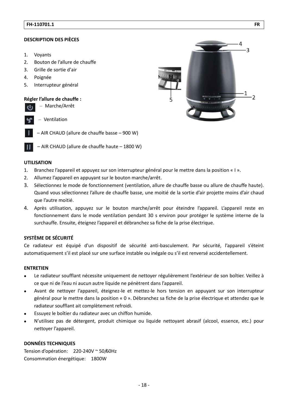#### **DESCRIPTION DES PIÈCES**

- $1.$ Voyants
- $2.$ Bouton de l'allure de chauffe
- $3<sub>1</sub>$ Grille de sortie d'air
- $4.$ Poignée
- Interrupteur général 5.

#### Régler l'allure de chauffe :

- Marche/Arrêt
- Ventilation
- AIR CHAUD (allure de chauffe basse 900 W)
- AIR CHAUD (allure de chauffe haute 1800 W)

#### **UTILISATION**

- 1. Branchez l'appareil et appuyez sur son interrupteur général pour le mettre dans la position « I ».
- $2.$ Allumez l'appareil en appuyant sur le bouton marche/arrêt.
- Sélectionnez le mode de fonctionnement (ventilation, allure de chauffe basse ou allure de chauffe haute).  $\overline{3}$ . Quand vous sélectionnez l'allure de chauffe basse, une moitié de la sortie d'air projette moins d'air chaud que l'autre moitié.
- 4. Après utilisation, appuyez sur le bouton marche/arrêt pour éteindre l'appareil. L'appareil reste en fonctionnement dans le mode ventilation pendant 30 s environ pour protéger le système interne de la surchauffe. Ensuite, éteignez l'appareil et débranchez sa fiche de la prise électrique.

#### SYSTÈME DE SÉCURITÉ

Ce radiateur est équipé d'un dispositif de sécurité anti-basculement. Par sécurité, l'appareil s'éteint automatiquement s'il est placé sur une surface instable ou inégale ou s'il est renversé accidentellement.

#### **ENTRETIEN**

- Le radiateur soufflant nécessite uniquement de nettoyer régulièrement l'extérieur de son boîtier. Veillez à ce que ni de l'eau ni aucun autre liquide ne pénètrent dans l'appareil.
- Avant de nettoyer l'appareil, éteignez-le et mettez-le hors tension en appuyant sur son interrupteur  $\bullet$ général pour le mettre dans la position « 0 ». Débranchez sa fiche de la prise électrique et attendez que le radiateur soufflant ait complètement refroidi.
- Essuyez le boîtier du radiateur avec un chiffon humide.
- N'utilisez pas de détergent, produit chimique ou liquide nettoyant abrasif (alcool, essence, etc.) pour nettoyer l'appareil.

#### **DONNÉES TECHNIQUES**

Tension d'opération: 220-240V ~ 50/60Hz Consommation énergétique: 1800W

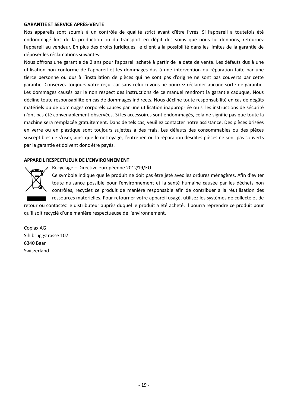#### **GARANTIE ET SERVICE APRÈS-VENTE**

Nos appareils sont soumis à un contrôle de qualité strict avant d'être livrés. Si l'appareil a toutefois été endommagé lors de la production ou du transport en dépit des soins que nous lui donnons, retournez l'appareil au vendeur. En plus des droits juridiques, le client a la possibilité dans les limites de la garantie de déposer les réclamations suivantes:

Nous offrons une garantie de 2 ans pour l'appareil acheté à partir de la date de vente. Les défauts dus à une utilisation non conforme de l'appareil et les dommages dus à une intervention ou réparation faite par une tierce personne ou dus à l'installation de pièces qui ne sont pas d'origine ne sont pas couverts par cette garantie. Conservez toujours votre reçu, car sans celui-ci vous ne pourrez réclamer aucune sorte de garantie. Les dommages causés par le non respect des instructions de ce manuel rendront la garantie caduque, Nous décline toute responsabilité en cas de dommages indirects. Nous décline toute responsabilité en cas de dégâts matériels ou de dommages corporels causés par une utilisation inappropriée ou si les instructions de sécurité n'ont pas été convenablement observées. Si les accessoires sont endommagés, cela ne signifie pas que toute la machine sera remplacée gratuitement. Dans de tels cas, veuillez contacter notre assistance. Des pièces brisées en verre ou en plastique sont toujours sujettes à des frais. Les défauts des consommables ou des pièces susceptibles de s'user, ainsi que le nettoyage, l'entretien ou la réparation desdites pièces ne sont pas couverts par la garantie et doivent donc être payés.

#### **APPAREIL RESPECTUEUX DE L'ENVIRONNEMENT**



Recyclage – Directive européenne 2012/19/EU

Ce symbole indique que le produit ne doit pas être jeté avec les ordures ménagères. Afin d'éviter toute nuisance possible pour l'environnement et la santé humaine causée par les déchets non contrôlés, recyclez ce produit de manière responsable afin de contribuer à la réutilisation des ressources matérielles. Pour retourner votre appareil usagé, utilisez les systèmes de collecte et de retour ou contactez le distributeur auprès duquel le produit a été acheté. Il pourra reprendre ce produit pour

qu'il soit recyclé d'une manière respectueuse de l'environnement.

Coplax AG Sihlbruggstrasse 107 6340 Baar Switzerland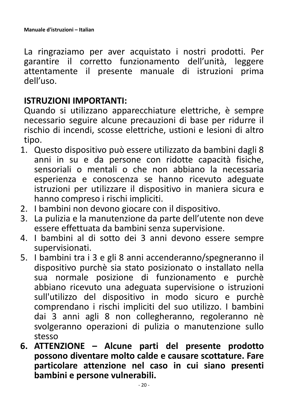<span id="page-20-0"></span>La ringraziamo per aver acquistato i nostri prodotti. Per garantire il corretto funzionamento dell'unità, leggere attentamente il presente manuale di istruzioni prima dell'uso.

## **ISTRUZIONI IMPORTANTI:**

Quando si utilizzano apparecchiature elettriche, è sempre necessario seguire alcune precauzioni di base per ridurre il rischio di incendi, scosse elettriche, ustioni e lesioni di altro tipo.

- 1. Questo dispositivo può essere utilizzato da bambini dagli 8 anni in su e da persone con ridotte capacità fisiche, sensoriali o mentali o che non abbiano la necessaria esperienza e conoscenza se hanno ricevuto adeguate istruzioni per utilizzare il dispositivo in maniera sicura e hanno compreso i rischi impliciti.
- 2. I bambini non devono giocare con il dispositivo.
- 3. La pulizia e la manutenzione da parte dell'utente non deve essere effettuata da bambini senza supervisione.
- 4. I bambini al di sotto dei 3 anni devono essere sempre supervisionati.
- 5. I bambini tra i 3 e gli 8 anni accenderanno/spegneranno il dispositivo purchè sia stato posizionato o installato nella sua normale posizione di funzionamento e purchè abbiano ricevuto una adeguata supervisione o istruzioni sull'utilizzo del dispositivo in modo sicuro e purchè comprendano i rischi impliciti del suo utilizzo. I bambini dai 3 anni agli 8 non collegheranno, regoleranno nè svolgeranno operazioni di pulizia o manutenzione sullo stesso
- **6. ATTENZIONE – Alcune parti del presente prodotto possono diventare molto calde e causare scottature. Fare particolare attenzione nel caso in cui siano presenti bambini e persone vulnerabili.**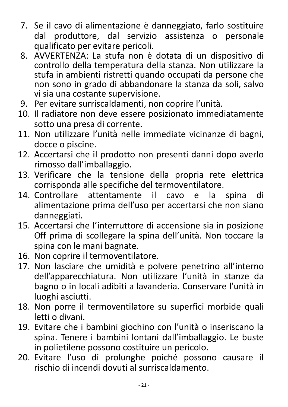- 7. Se il cavo di alimentazione è danneggiato, farlo sostituire produttore, dal servizio assistenza o personale dal qualificato per evitare pericoli.
- AVVERTENZA: La stufa non è dotata di un dispositivo di  $8_{\cdot}$ controllo della temperatura della stanza. Non utilizzare la stufa in ambienti ristretti quando occupati da persone che non sono in grado di abbandonare la stanza da soli, salvo vi sia una costante supervisione.
- 9. Per evitare surriscaldamenti, non coprire l'unità.
- 10. Il radiatore non deve essere posizionato immediatamente sotto una presa di corrente.
- 11. Non utilizzare l'unità nelle immediate vicinanze di bagni, docce o piscine.
- 12. Accertarsi che il prodotto non presenti danni dopo averlo rimosso dall'imballaggio.
- 13. Verificare che la tensione della propria rete elettrica corrisponda alle specifiche del termoventilatore.
- 14. Controllare attentamente il cavo la spina di e alimentazione prima dell'uso per accertarsi che non siano danneggiati.
- 15. Accertarsi che l'interruttore di accensione sia in posizione Off prima di scollegare la spina dell'unità. Non toccare la spina con le mani bagnate.
- 16. Non coprire il termoventilatore.
- 17. Non lasciare che umidità e polvere penetrino all'interno dell'apparecchiatura. Non utilizzare l'unità in stanze da bagno o in locali adibiti a lavanderia. Conservare l'unità in luoghi asciutti.
- 18. Non porre il termoventilatore su superfici morbide quali letti o divani.
- 19. Evitare che i bambini giochino con l'unità o inseriscano la spina. Tenere i bambini lontani dall'imballaggio. Le buste in polietilene possono costituire un pericolo.
- 20. Evitare l'uso di prolunghe poiché possono causare il rischio di incendi dovuti al surriscaldamento.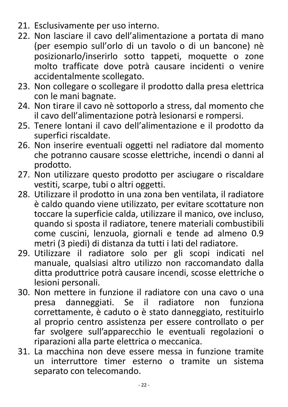- 21. Esclusivamente per uso interno.
- 22. Non lasciare il cavo dell'alimentazione a portata di mano (per esempio sull'orlo di un tavolo o di un bancone) nè posizionarlo/inserirlo sotto tappeti, moquette o zone molto trafficate dove potrà causare incidenti o venire accidentalmente scollegato.
- 23. Non collegare o scollegare il prodotto dalla presa elettrica con le mani bagnate.
- 24. Non tirare il cavo nè sottoporlo a stress, dal momento che il cavo dell'alimentazione potrà lesionarsi e rompersi.
- 25. Tenere lontani il cavo dell'alimentazione e il prodotto da superfici riscaldate.
- 26. Non inserire eventuali oggetti nel radiatore dal momento che potranno causare scosse elettriche, incendi o danni al prodotto.
- 27. Non utilizzare questo prodotto per asciugare o riscaldare vestiti, scarpe, tubi o altri oggetti.
- 28. Utilizzare il prodotto in una zona ben ventilata, il radiatore è caldo quando viene utilizzato, per evitare scottature non toccare la superficie calda, utilizzare il manico, ove incluso, quando si sposta il radiatore, tenere materiali combustibili come cuscini, lenzuola, giornali e tende ad almeno 0.9 metri (3 piedi) di distanza da tutti i lati del radiatore.
- 29. Utilizzare il radiatore solo per gli scopi indicati nel manuale, qualsiasi altro utilizzo non raccomandato dalla ditta produttrice potrà causare incendi, scosse elettriche o lesioni personali.
- 30. Non mettere in funzione il radiatore con una cavo o una presa danneggiati. Se il radiatore non funziona correttamente, è caduto o è stato danneggiato, restituirlo al proprio centro assistenza per essere controllato o per far svolgere sull'apparecchio le eventuali regolazioni o riparazioni alla parte elettrica o meccanica.
- 31. La macchina non deve essere messa in funzione tramite un interruttore timer esterno o tramite un sistema separato con telecomando.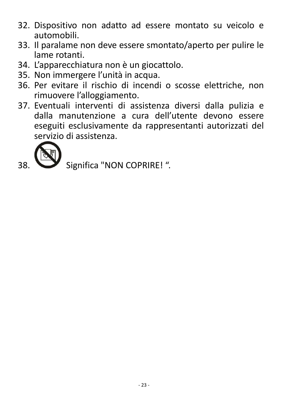- 32. Dispositivo non adatto ad essere montato su veicolo e automobili.
- 33. Il paralame non deve essere smontato/aperto per pulire le lame rotanti.
- 34. L'apparecchiatura non è un giocattolo.
- 35. Non immergere l'unità in acqua.
- 36. Per evitare il rischio di incendi o scosse elettriche, non rimuovere l'alloggiamento.
- 37. Eventuali interventi di assistenza diversi dalla pulizia e dalla manutenzione a cura dell'utente devono essere eseguiti esclusivamente da rappresentanti autorizzati del servizio di assistenza.



38

Significa "NON COPRIRE! ".

 $-23-$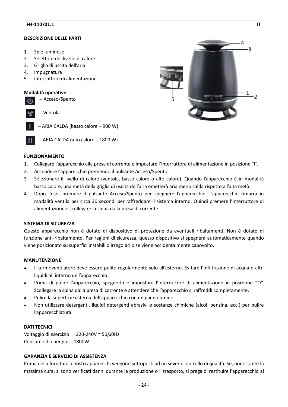#### **DESCRIZIONE DELLE PARTI**

- $1<sup>1</sup>$ Spie luminose
- Selettore del livello di calore  $2.$
- $3.$ Griglia di uscita dell'aria
- $4.$ Impugnatura
- Interruttore di alimentazione 5.

#### Modalità operative

|           | - Acceso/Spento                     |
|-----------|-------------------------------------|
| <b>SP</b> | – Ventola                           |
|           | - ARIA CALDA (basso calore - 900 W) |

- ARIA CALDA (alto calore - 1800 W)



#### **FUNZIONAMENTO**

- $1.$ Collegare l'apparecchio alla presa di corrente e impostare l'interruttore di alimentazione in posizione "l".
- $2.$ Accendere l'apparecchio premendo il pulsante Acceso/Spento.
- Selezionare il livello di calore (ventola, basso calore o alto calore). Quando l'apparecchio è in modalità  $\overline{3}$ . basso calore, una metà della griglia di uscita dell'aria emetterà aria meno calda rispetto all'alta metà.
- Dopo l'uso, premere il pulsante Acceso/Spento per spegnere l'apparecchio. L'apparecchio rimarrà in 4. modalità ventila per circa 30 secondi per raffreddare il sistema interno. Quindi premere l'interruttore di alimentazione e scollegare la spina dalla presa di corrente.

#### **SISTEMA DI SICUREZZA**

Questo apparecchio non è dotato di dispositivo di protezione da eventuali ribaltamenti. Non è dotato di funzione anti-ribaltamento. Per ragioni di sicurezza, questo dispositivo si spegnerà automaticamente quando viene posizionato su superfici instabili o irregolari o se viene accidentalmente capovolto.

#### **MANUTENZIONE**

- Il termoventilatore deve essere pulito regolarmente solo all'esterno. Evitare l'infiltrazione di acqua o altri  $\bullet$ liquidi all'interno dell'apparecchio.
- Prima di pulire l'apparecchio, spegnerlo e impostare l'interruttore di alimentazione in posizione "O". Scollegare la spina dalla presa di corrente e attendere che l'apparecchio si raffreddi completamente.
- Pulire la superficie esterna dell'apparecchio con un panno umido.
- Non utilizzare detergenti, liquidi detergenti abrasivi o sostanze chimiche (alcol, benzina, ecc.) per pulire l'apparecchiatura.

### **DATI TECNICI**

Voltaggio di esercizio: 220-240V ~ 50/60Hz Consumo di energia: 1800W

### **GARANZIA E SERVIZIO DI ASSISTENZA**

Prima della fornitura, i nostri apparecchi vengono sottoposti ad un severo controllo di qualità. Se, nonostante la massima cura, si sono verificati danni durante la produzione o il trasporto, si prega di restituire l'apparecchio al